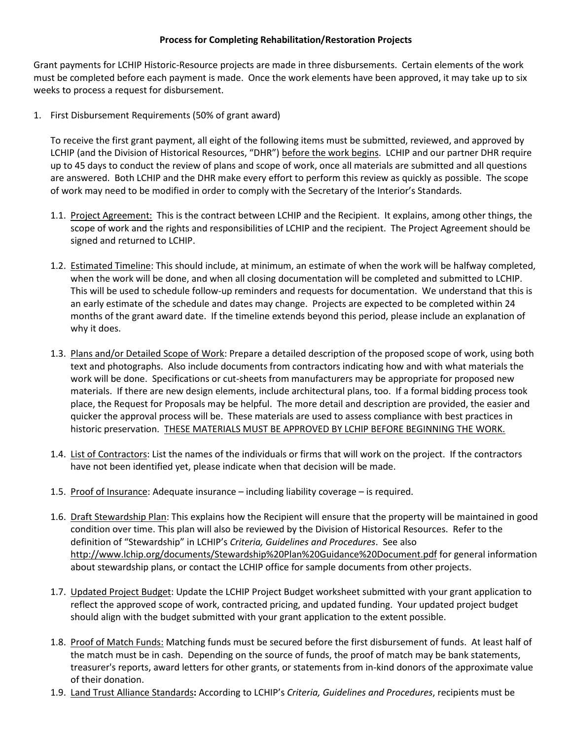## **Process for Completing Rehabilitation/Restoration Projects**

Grant payments for LCHIP Historic-Resource projects are made in three disbursements. Certain elements of the work must be completed before each payment is made. Once the work elements have been approved, it may take up to six weeks to process a request for disbursement.

1. First Disbursement Requirements (50% of grant award)

To receive the first grant payment, all eight of the following items must be submitted, reviewed, and approved by LCHIP (and the Division of Historical Resources, "DHR") before the work begins. LCHIP and our partner DHR require up to 45 days to conduct the review of plans and scope of work, once all materials are submitted and all questions are answered. Both LCHIP and the DHR make every effort to perform this review as quickly as possible. The scope of work may need to be modified in order to comply with the Secretary of the Interior's Standards.

- 1.1. Project Agreement: This is the contract between LCHIP and the Recipient. It explains, among other things, the scope of work and the rights and responsibilities of LCHIP and the recipient. The Project Agreement should be signed and returned to LCHIP.
- 1.2. Estimated Timeline: This should include, at minimum, an estimate of when the work will be halfway completed, when the work will be done, and when all closing documentation will be completed and submitted to LCHIP. This will be used to schedule follow-up reminders and requests for documentation. We understand that this is an early estimate of the schedule and dates may change. Projects are expected to be completed within 24 months of the grant award date. If the timeline extends beyond this period, please include an explanation of why it does.
- 1.3. Plans and/or Detailed Scope of Work: Prepare a detailed description of the proposed scope of work, using both text and photographs. Also include documents from contractors indicating how and with what materials the work will be done. Specifications or cut-sheets from manufacturers may be appropriate for proposed new materials. If there are new design elements, include architectural plans, too. If a formal bidding process took place, the Request for Proposals may be helpful. The more detail and description are provided, the easier and quicker the approval process will be. These materials are used to assess compliance with best practices in historic preservation. THESE MATERIALS MUST BE APPROVED BY LCHIP BEFORE BEGINNING THE WORK.
- 1.4. List of Contractors: List the names of the individuals or firms that will work on the project. If the contractors have not been identified yet, please indicate when that decision will be made.
- 1.5. Proof of Insurance: Adequate insurance including liability coverage is required.
- 1.6. Draft Stewardship Plan: This explains how the Recipient will ensure that the property will be maintained in good condition over time. This plan will also be reviewed by the Division of Historical Resources. Refer to the definition of "Stewardship" in LCHIP's *Criteria, Guidelines and Procedures*. See also <http://www.lchip.org/documents/Stewardship%20Plan%20Guidance%20Document.pdf> for general information about stewardship plans, or contact the LCHIP office for sample documents from other projects.
- 1.7. Updated Project Budget: Update the LCHIP Project Budget worksheet submitted with your grant application to reflect the approved scope of work, contracted pricing, and updated funding. Your updated project budget should align with the budget submitted with your grant application to the extent possible.
- 1.8. Proof of Match Funds: Matching funds must be secured before the first disbursement of funds. At least half of the match must be in cash. Depending on the source of funds, the proof of match may be bank statements, treasurer's reports, award letters for other grants, or statements from in-kind donors of the approximate value of their donation.
- 1.9. Land Trust Alliance Standards**:** According to LCHIP's *Criteria, Guidelines and Procedures*, recipients must be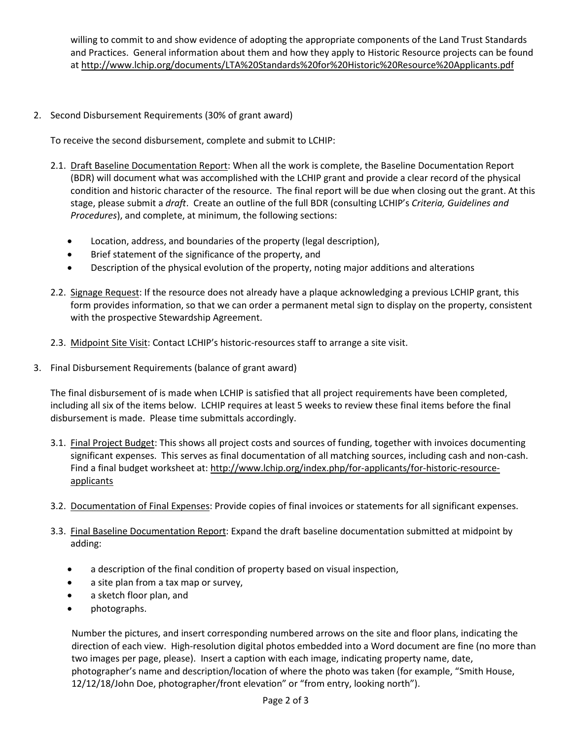willing to commit to and show evidence of adopting the appropriate components of the Land Trust Standards and Practices. General information about them and how they apply to Historic Resource projects can be found at<http://www.lchip.org/documents/LTA%20Standards%20for%20Historic%20Resource%20Applicants.pdf>

2. Second Disbursement Requirements (30% of grant award)

To receive the second disbursement, complete and submit to LCHIP:

- 2.1. Draft Baseline Documentation Report: When all the work is complete, the Baseline Documentation Report (BDR) will document what was accomplished with the LCHIP grant and provide a clear record of the physical condition and historic character of the resource. The final report will be due when closing out the grant. At this stage, please submit a *draft*. Create an outline of the full BDR (consulting LCHIP's *Criteria, Guidelines and Procedures*), and complete, at minimum, the following sections:
	- Location, address, and boundaries of the property (legal description),
	- Brief statement of the significance of the property, and
	- Description of the physical evolution of the property, noting major additions and alterations
- 2.2. Signage Request: If the resource does not already have a plaque acknowledging a previous LCHIP grant, this form provides information, so that we can order a permanent metal sign to display on the property, consistent with the prospective Stewardship Agreement.
- 2.3. Midpoint Site Visit: Contact LCHIP's historic-resources staff to arrange a site visit.
- 3. Final Disbursement Requirements (balance of grant award)

The final disbursement of is made when LCHIP is satisfied that all project requirements have been completed, including all six of the items below. LCHIP requires at least 5 weeks to review these final items before the final disbursement is made. Please time submittals accordingly.

- 3.1. Final Project Budget: This shows all project costs and sources of funding, together with invoices documenting significant expenses. This serves as final documentation of all matching sources, including cash and non-cash. Find a final budget worksheet at: [http://www.lchip.org/index.php/for-applicants/for-historic-resource](http://www.lchip.org/index.php/for-applicants/for-historic-resource-applicants)[applicants](http://www.lchip.org/index.php/for-applicants/for-historic-resource-applicants)
- 3.2. Documentation of Final Expenses: Provide copies of final invoices or statements for all significant expenses.
- 3.3. Final Baseline Documentation Report: Expand the draft baseline documentation submitted at midpoint by adding:
	- a description of the final condition of property based on visual inspection,
	- a site plan from a tax map or survey,
	- a sketch floor plan, and
	- photographs.

Number the pictures, and insert corresponding numbered arrows on the site and floor plans, indicating the direction of each view. High-resolution digital photos embedded into a Word document are fine (no more than two images per page, please). Insert a caption with each image, indicating property name, date, photographer's name and description/location of where the photo was taken (for example, "Smith House, 12/12/18/John Doe, photographer/front elevation" or "from entry, looking north").